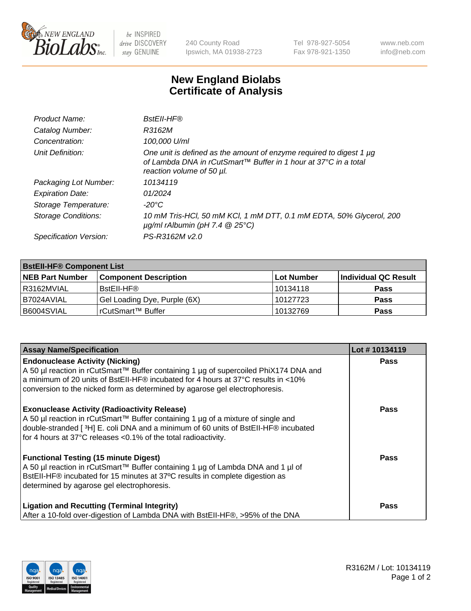

 $be$  INSPIRED drive DISCOVERY stay GENUINE

240 County Road Ipswich, MA 01938-2723 Tel 978-927-5054 Fax 978-921-1350 www.neb.com info@neb.com

## **New England Biolabs Certificate of Analysis**

| Product Name:           | <b>BstEll-HF®</b>                                                                                                                                                   |
|-------------------------|---------------------------------------------------------------------------------------------------------------------------------------------------------------------|
| Catalog Number:         | R3162M                                                                                                                                                              |
| Concentration:          | 100,000 U/ml                                                                                                                                                        |
| Unit Definition:        | One unit is defined as the amount of enzyme required to digest 1 µg<br>of Lambda DNA in rCutSmart™ Buffer in 1 hour at 37°C in a total<br>reaction volume of 50 µl. |
| Packaging Lot Number:   | 10134119                                                                                                                                                            |
| <b>Expiration Date:</b> | 01/2024                                                                                                                                                             |
| Storage Temperature:    | $-20^{\circ}$ C                                                                                                                                                     |
| Storage Conditions:     | 10 mM Tris-HCl, 50 mM KCl, 1 mM DTT, 0.1 mM EDTA, 50% Glycerol, 200<br>$\mu$ g/ml rAlbumin (pH 7.4 $\circledR$ 25°C)                                                |
| Specification Version:  | PS-R3162M v2.0                                                                                                                                                      |
|                         |                                                                                                                                                                     |

| <b>BstEll-HF® Component List</b> |                              |            |                      |  |  |
|----------------------------------|------------------------------|------------|----------------------|--|--|
| <b>NEB Part Number</b>           | <b>Component Description</b> | Lot Number | Individual QC Result |  |  |
| I R3162MVIAL                     | BstEll-HF®                   | l 10134118 | <b>Pass</b>          |  |  |
| I B7024AVIAL                     | Gel Loading Dye, Purple (6X) | 10127723   | <b>Pass</b>          |  |  |
| B6004SVIAL                       | rCutSmart™ Buffer            | 10132769   | <b>Pass</b>          |  |  |

| <b>Assay Name/Specification</b>                                                                                                                                                                                                                                                                    | Lot #10134119 |
|----------------------------------------------------------------------------------------------------------------------------------------------------------------------------------------------------------------------------------------------------------------------------------------------------|---------------|
| <b>Endonuclease Activity (Nicking)</b><br>A 50 µl reaction in rCutSmart™ Buffer containing 1 µg of supercoiled PhiX174 DNA and<br>a minimum of 20 units of BstEII-HF® incubated for 4 hours at 37°C results in <10%<br>conversion to the nicked form as determined by agarose gel electrophoresis. | <b>Pass</b>   |
| <b>Exonuclease Activity (Radioactivity Release)</b><br>A 50 µl reaction in rCutSmart™ Buffer containing 1 µg of a mixture of single and<br>double-stranded [3H] E. coli DNA and a minimum of 60 units of BstEll-HF® incubated<br>for 4 hours at 37°C releases <0.1% of the total radioactivity.    | <b>Pass</b>   |
| <b>Functional Testing (15 minute Digest)</b><br>A 50 µl reaction in rCutSmart™ Buffer containing 1 µg of Lambda DNA and 1 µl of<br>BstEII-HF® incubated for 15 minutes at 37°C results in complete digestion as<br>determined by agarose gel electrophoresis.                                      | Pass          |
| <b>Ligation and Recutting (Terminal Integrity)</b><br>After a 10-fold over-digestion of Lambda DNA with BstEII-HF®, >95% of the DNA                                                                                                                                                                | Pass          |